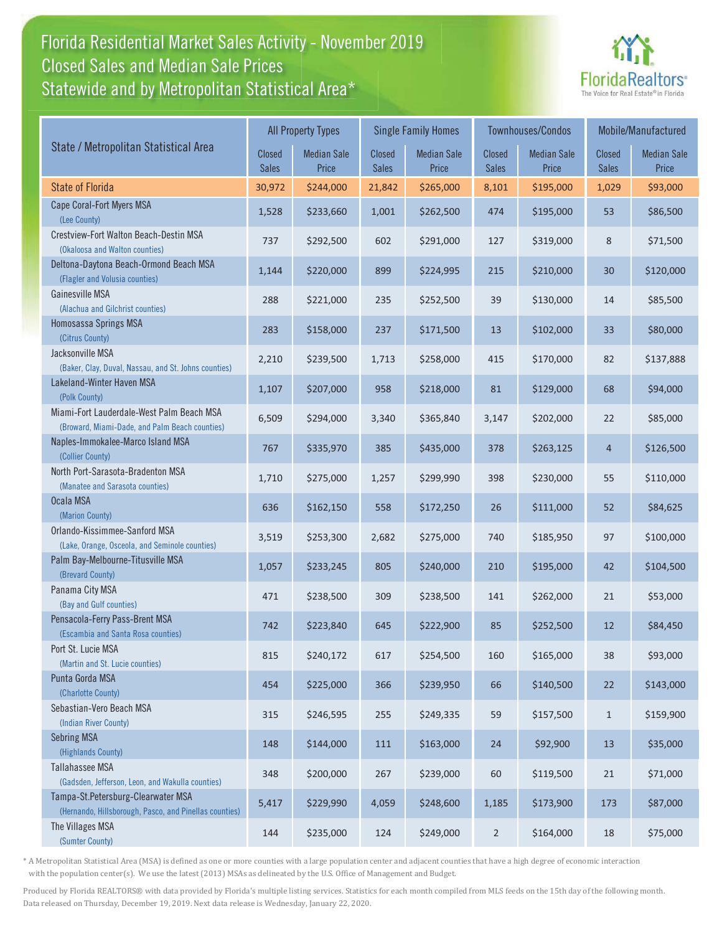## Florida Residential Market Sales Activity - November 2019 Florida Residential Market Sales Activity Statewide and by Metropolitan Statistical Area $^{\star}$ Closed Sales and Median Sale Prices



|                                                                                              | <b>All Property Types</b>     |                             |                               | <b>Single Family Homes</b>  |                               | Townhouses/Condos           | Mobile/Manufactured           |                             |
|----------------------------------------------------------------------------------------------|-------------------------------|-----------------------------|-------------------------------|-----------------------------|-------------------------------|-----------------------------|-------------------------------|-----------------------------|
| State / Metropolitan Statistical Area                                                        | <b>Closed</b><br><b>Sales</b> | <b>Median Sale</b><br>Price | <b>Closed</b><br><b>Sales</b> | <b>Median Sale</b><br>Price | <b>Closed</b><br><b>Sales</b> | <b>Median Sale</b><br>Price | <b>Closed</b><br><b>Sales</b> | <b>Median Sale</b><br>Price |
| <b>State of Florida</b>                                                                      | 30,972                        | \$244,000                   | 21,842                        | \$265,000                   | 8,101                         | \$195,000                   | 1,029                         | \$93,000                    |
| Cape Coral-Fort Myers MSA<br>(Lee County)                                                    | 1,528                         | \$233,660                   | 1,001                         | \$262,500                   | 474                           | \$195,000                   | 53                            | \$86,500                    |
| Crestview-Fort Walton Beach-Destin MSA<br>(Okaloosa and Walton counties)                     | 737                           | \$292,500                   | 602                           | \$291,000                   | 127                           | \$319,000                   | 8                             | \$71,500                    |
| Deltona-Daytona Beach-Ormond Beach MSA<br>(Flagler and Volusia counties)                     | 1,144                         | \$220,000                   | 899                           | \$224,995                   | 215                           | \$210,000                   | 30                            | \$120,000                   |
| Gainesville MSA<br>(Alachua and Gilchrist counties)                                          | 288                           | \$221,000                   | 235                           | \$252,500                   | 39                            | \$130,000                   | 14                            | \$85,500                    |
| Homosassa Springs MSA<br>(Citrus County)                                                     | 283                           | \$158,000                   | 237                           | \$171,500                   | 13                            | \$102,000                   | 33                            | \$80,000                    |
| Jacksonville MSA<br>(Baker, Clay, Duval, Nassau, and St. Johns counties)                     | 2,210                         | \$239,500                   | 1,713                         | \$258,000                   | 415                           | \$170,000                   | 82                            | \$137,888                   |
| Lakeland-Winter Haven MSA<br>(Polk County)                                                   | 1,107                         | \$207,000                   | 958                           | \$218,000                   | 81                            | \$129,000                   | 68                            | \$94,000                    |
| Miami-Fort Lauderdale-West Palm Beach MSA<br>(Broward, Miami-Dade, and Palm Beach counties)  | 6,509                         | \$294,000                   | 3,340                         | \$365,840                   | 3,147                         | \$202,000                   | 22                            | \$85,000                    |
| Naples-Immokalee-Marco Island MSA<br>(Collier County)                                        | 767                           | \$335,970                   | 385                           | \$435,000                   | 378                           | \$263,125                   | $\overline{4}$                | \$126,500                   |
| North Port-Sarasota-Bradenton MSA<br>(Manatee and Sarasota counties)                         | 1,710                         | \$275,000                   | 1,257                         | \$299,990                   | 398                           | \$230,000                   | 55                            | \$110,000                   |
| Ocala MSA<br>(Marion County)                                                                 | 636                           | \$162,150                   | 558                           | \$172,250                   | 26                            | \$111,000                   | 52                            | \$84,625                    |
| Orlando-Kissimmee-Sanford MSA<br>(Lake, Orange, Osceola, and Seminole counties)              | 3,519                         | \$253,300                   | 2,682                         | \$275,000                   | 740                           | \$185,950                   | 97                            | \$100,000                   |
| Palm Bay-Melbourne-Titusville MSA<br>(Brevard County)                                        | 1,057                         | \$233,245                   | 805                           | \$240,000                   | 210                           | \$195,000                   | 42                            | \$104,500                   |
| Panama City MSA<br>(Bay and Gulf counties)                                                   | 471                           | \$238,500                   | 309                           | \$238,500                   | 141                           | \$262,000                   | 21                            | \$53,000                    |
| Pensacola-Ferry Pass-Brent MSA<br>(Escambia and Santa Rosa counties)                         | 742                           | \$223,840                   | 645                           | \$222,900                   | 85                            | \$252,500                   | 12                            | \$84,450                    |
| Port St. Lucie MSA<br>(Martin and St. Lucie counties)                                        | 815                           | \$240,172                   | 617                           | \$254,500                   | 160                           | \$165,000                   | 38                            | \$93,000                    |
| Punta Gorda MSA<br>(Charlotte County)                                                        | 454                           | \$225,000                   | 366                           | \$239,950                   | 66                            | \$140,500                   | 22                            | \$143,000                   |
| Sebastian-Vero Beach MSA<br>(Indian River County)                                            | 315                           | \$246,595                   | 255                           | \$249,335                   | 59                            | \$157,500                   | $\mathbf{1}$                  | \$159,900                   |
| <b>Sebring MSA</b><br>(Highlands County)                                                     | 148                           | \$144,000                   | 111                           | \$163,000                   | 24                            | \$92,900                    | 13                            | \$35,000                    |
| <b>Tallahassee MSA</b><br>(Gadsden, Jefferson, Leon, and Wakulla counties)                   | 348                           | \$200,000                   | 267                           | \$239,000                   | 60                            | \$119,500                   | 21                            | \$71,000                    |
| Tampa-St.Petersburg-Clearwater MSA<br>(Hernando, Hillsborough, Pasco, and Pinellas counties) | 5,417                         | \$229,990                   | 4,059                         | \$248,600                   | 1,185                         | \$173,900                   | 173                           | \$87,000                    |
| The Villages MSA<br>(Sumter County)                                                          | 144                           | \$235,000                   | 124                           | \$249,000                   | $\overline{2}$                | \$164,000                   | 18                            | \$75,000                    |

\* A Metropolitan Statistical Area (MSA) is defined as one or more counties with a large population center and adjacent counties that have a high degree of economic interaction with the population center(s). We use the latest (2013) MSAs as delineated by the U.S. Office of Management and Budget.

Produced by Florida REALTORS® with data provided by Florida's multiple listing services. Statistics for each month compiled from MLS feeds on the 15th day of the following month. Data released on Thursday, December 19, 2019. Next data release is Wednesday, January 22, 2020.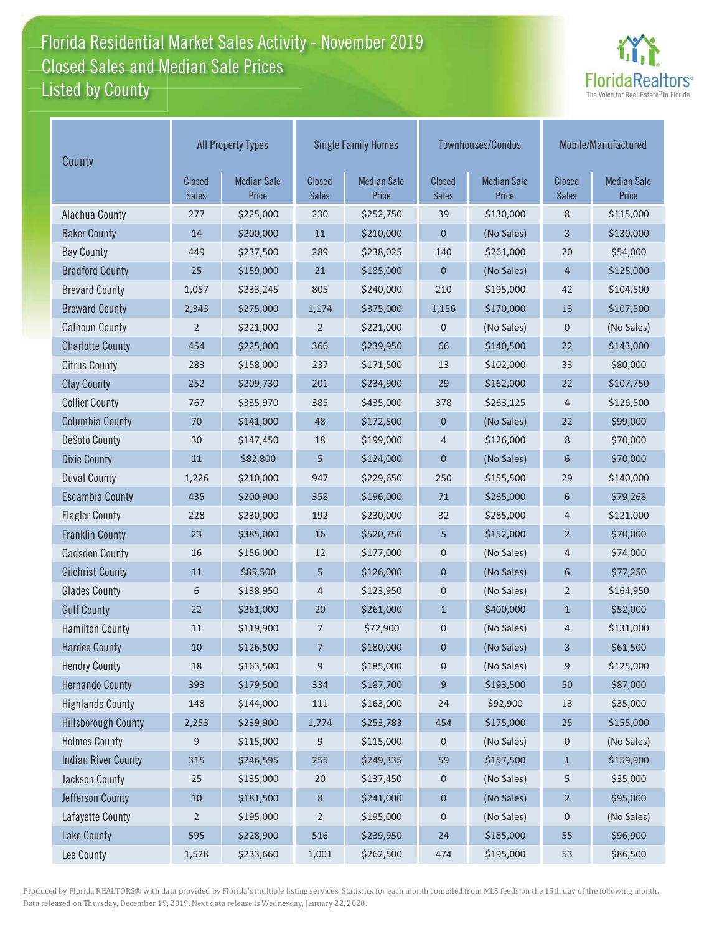## Florida Residential Market Sales Activity - November 2019 Florida Residential Market Sales Activity Listed by County Closed Sales and Median Sale Prices



| County                     | <b>All Property Types</b>     |                             |                               | <b>Single Family Homes</b>  |                        | Townhouses/Condos           | Mobile/Manufactured    |                             |
|----------------------------|-------------------------------|-----------------------------|-------------------------------|-----------------------------|------------------------|-----------------------------|------------------------|-----------------------------|
|                            | <b>Closed</b><br><b>Sales</b> | <b>Median Sale</b><br>Price | <b>Closed</b><br><b>Sales</b> | <b>Median Sale</b><br>Price | Closed<br><b>Sales</b> | <b>Median Sale</b><br>Price | Closed<br><b>Sales</b> | <b>Median Sale</b><br>Price |
| Alachua County             | 277                           | \$225,000                   | 230                           | \$252,750                   | 39                     | \$130,000                   | 8                      | \$115,000                   |
| <b>Baker County</b>        | 14                            | \$200,000                   | 11                            | \$210,000                   | 0                      | (No Sales)                  | 3                      | \$130,000                   |
| <b>Bay County</b>          | 449                           | \$237,500                   | 289                           | \$238,025                   | 140                    | \$261,000                   | 20                     | \$54,000                    |
| <b>Bradford County</b>     | 25                            | \$159,000                   | 21                            | \$185,000                   | $\boldsymbol{0}$       | (No Sales)                  | $\overline{4}$         | \$125,000                   |
| <b>Brevard County</b>      | 1,057                         | \$233,245                   | 805                           | \$240,000                   | 210                    | \$195,000                   | 42                     | \$104,500                   |
| <b>Broward County</b>      | 2,343                         | \$275,000                   | 1,174                         | \$375,000                   | 1,156                  | \$170,000                   | 13                     | \$107,500                   |
| <b>Calhoun County</b>      | $\overline{2}$                | \$221,000                   | $\overline{2}$                | \$221,000                   | 0                      | (No Sales)                  | $\mathsf 0$            | (No Sales)                  |
| <b>Charlotte County</b>    | 454                           | \$225,000                   | 366                           | \$239,950                   | 66                     | \$140,500                   | 22                     | \$143,000                   |
| <b>Citrus County</b>       | 283                           | \$158,000                   | 237                           | \$171,500                   | 13                     | \$102,000                   | 33                     | \$80,000                    |
| <b>Clay County</b>         | 252                           | \$209,730                   | 201                           | \$234,900                   | 29                     | \$162,000                   | 22                     | \$107,750                   |
| <b>Collier County</b>      | 767                           | \$335,970                   | 385                           | \$435,000                   | 378                    | \$263,125                   | 4                      | \$126,500                   |
| <b>Columbia County</b>     | 70                            | \$141,000                   | 48                            | \$172,500                   | $\mathbf 0$            | (No Sales)                  | 22                     | \$99,000                    |
| <b>DeSoto County</b>       | 30                            | \$147,450                   | 18                            | \$199,000                   | 4                      | \$126,000                   | 8                      | \$70,000                    |
| <b>Dixie County</b>        | 11                            | \$82,800                    | 5                             | \$124,000                   | 0                      | (No Sales)                  | 6                      | \$70,000                    |
| <b>Duval County</b>        | 1,226                         | \$210,000                   | 947                           | \$229,650                   | 250                    | \$155,500                   | 29                     | \$140,000                   |
| <b>Escambia County</b>     | 435                           | \$200,900                   | 358                           | \$196,000                   | 71                     | \$265,000                   | 6                      | \$79,268                    |
| <b>Flagler County</b>      | 228                           | \$230,000                   | 192                           | \$230,000                   | 32                     | \$285,000                   | 4                      | \$121,000                   |
| <b>Franklin County</b>     | 23                            | \$385,000                   | 16                            | \$520,750                   | 5                      | \$152,000                   | $\overline{2}$         | \$70,000                    |
| <b>Gadsden County</b>      | 16                            | \$156,000                   | 12                            | \$177,000                   | 0                      | (No Sales)                  | 4                      | \$74,000                    |
| <b>Gilchrist County</b>    | 11                            | \$85,500                    | 5                             | \$126,000                   | $\mathbf 0$            | (No Sales)                  | 6                      | \$77,250                    |
| <b>Glades County</b>       | 6                             | \$138,950                   | 4                             | \$123,950                   | 0                      | (No Sales)                  | $\overline{2}$         | \$164,950                   |
| <b>Gulf County</b>         | 22                            | \$261,000                   | 20                            | \$261,000                   | $\mathbf{1}$           | \$400,000                   | $\mathbf{1}$           | \$52,000                    |
| <b>Hamilton County</b>     | 11                            | \$119,900                   | 7                             | \$72,900                    | 0                      | (No Sales)                  | 4                      | \$131,000                   |
| <b>Hardee County</b>       | 10                            | \$126,500                   | 7                             | \$180,000                   | $\mathbf 0$            | (No Sales)                  | 3                      | \$61,500                    |
| <b>Hendry County</b>       | 18                            | \$163,500                   | 9                             | \$185,000                   | 0                      | (No Sales)                  | 9                      | \$125,000                   |
| <b>Hernando County</b>     | 393                           | \$179,500                   | 334                           | \$187,700                   | 9                      | \$193,500                   | 50                     | \$87,000                    |
| <b>Highlands County</b>    | 148                           | \$144,000                   | 111                           | \$163,000                   | 24                     | \$92,900                    | 13                     | \$35,000                    |
| <b>Hillsborough County</b> | 2,253                         | \$239,900                   | 1,774                         | \$253,783                   | 454                    | \$175,000                   | 25                     | \$155,000                   |
| <b>Holmes County</b>       | 9                             | \$115,000                   | 9                             | \$115,000                   | 0                      | (No Sales)                  | 0                      | (No Sales)                  |
| <b>Indian River County</b> | 315                           | \$246,595                   | 255                           | \$249,335                   | 59                     | \$157,500                   | $\mathbf{1}$           | \$159,900                   |
| Jackson County             | $25\,$                        | \$135,000                   | 20                            | \$137,450                   | 0                      | (No Sales)                  | 5                      | \$35,000                    |
| Jefferson County           | $10\,$                        | \$181,500                   | 8                             | \$241,000                   | 0                      | (No Sales)                  | $\overline{2}$         | \$95,000                    |
| Lafayette County           | $\overline{2}$                | \$195,000                   | $\overline{2}$                | \$195,000                   | 0                      | (No Sales)                  | 0                      | (No Sales)                  |
| <b>Lake County</b>         | 595                           | \$228,900                   | 516                           | \$239,950                   | 24                     | \$185,000                   | 55                     | \$96,900                    |
| Lee County                 | 1,528                         | \$233,660                   | 1,001                         | \$262,500                   | 474                    | \$195,000                   | 53                     | \$86,500                    |

Produced by Florida REALTORS® with data provided by Florida's multiple listing services. Statistics for each month compiled from MLS feeds on the 15th day of the following month. Data released on Thursday, December 19, 2019. Next data release is Wednesday, January 22, 2020.